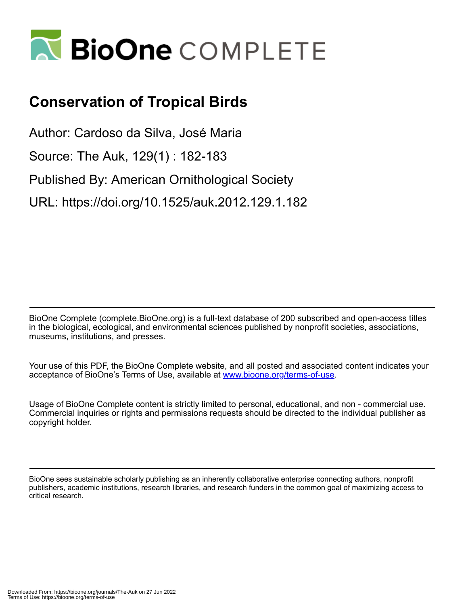

## **Conservation of Tropical Birds**

Author: Cardoso da Silva, José Maria

Source: The Auk, 129(1) : 182-183

Published By: American Ornithological Society

URL: https://doi.org/10.1525/auk.2012.129.1.182

BioOne Complete (complete.BioOne.org) is a full-text database of 200 subscribed and open-access titles in the biological, ecological, and environmental sciences published by nonprofit societies, associations, museums, institutions, and presses.

Your use of this PDF, the BioOne Complete website, and all posted and associated content indicates your acceptance of BioOne's Terms of Use, available at www.bioone.org/terms-of-use.

Usage of BioOne Complete content is strictly limited to personal, educational, and non - commercial use. Commercial inquiries or rights and permissions requests should be directed to the individual publisher as copyright holder.

BioOne sees sustainable scholarly publishing as an inherently collaborative enterprise connecting authors, nonprofit publishers, academic institutions, research libraries, and research funders in the common goal of maximizing access to critical research.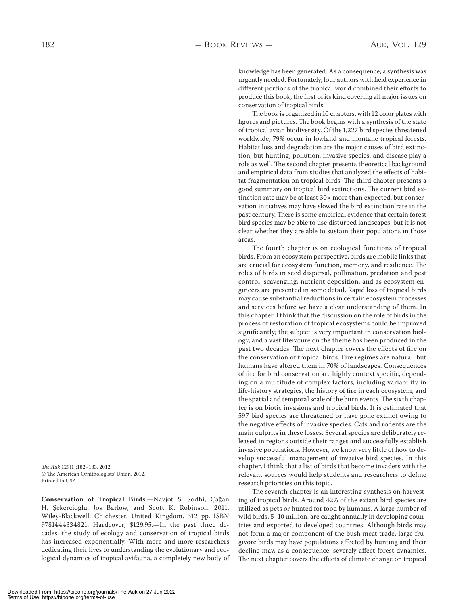knowledge has been generated. As a consequence, a synthesis was urgently needed. Fortunately, four authors with field experience in different portions of the tropical world combined their efforts to produce this book, the first of its kind covering all major issues on conservation of tropical birds.

The book is organized in 10 chapters, with 12 color plates with figures and pictures. The book begins with a synthesis of the state of tropical avian biodiversity. Of the 1,227 bird species threatened worldwide, 79% occur in lowland and montane tropical forests. Habitat loss and degradation are the major causes of bird extinction, but hunting, pollution, invasive species, and disease play a role as well. The second chapter presents theoretical background and empirical data from studies that analyzed the effects of habitat fragmentation on tropical birds. The third chapter presents a good summary on tropical bird extinctions. The current bird extinction rate may be at least  $30 \times$  more than expected, but conservation initiatives may have slowed the bird extinction rate in the past century. There is some empirical evidence that certain forest bird species may be able to use disturbed landscapes, but it is not clear whether they are able to sustain their populations in those areas.

The fourth chapter is on ecological functions of tropical birds. From an ecosystem perspective, birds are mobile links that are crucial for ecosystem function, memory, and resilience. The roles of birds in seed dispersal, pollination, predation and pest control, scavenging, nutrient deposition, and as ecosystem engineers are presented in some detail. Rapid loss of tropical birds may cause substantial reductions in certain ecosystem processes and services before we have a clear understanding of them. In this chapter, I think that the discussion on the role of birds in the process of restoration of tropical ecosystems could be improved significantly; the subject is very important in conservation biology, and a vast literature on the theme has been produced in the past two decades. The next chapter covers the effects of fire on the conservation of tropical birds. Fire regimes are natural, but humans have altered them in 70% of landscapes. Consequences of fire for bird conservation are highly context specific, depending on a multitude of complex factors, including variability in life-history strategies, the history of fire in each ecosystem, and the spatial and temporal scale of the burn events. The sixth chapter is on biotic invasions and tropical birds. It is estimated that 597 bird species are threatened or have gone extinct owing to the negative effects of invasive species. Cats and rodents are the main culprits in these losses. Several species are deliberately released in regions outside their ranges and successfully establish invasive populations. However, we know very little of how to develop successful management of invasive bird species. In this chapter, I think that a list of birds that become invaders with the relevant sources would help students and researchers to define research priorities on this topic.

The seventh chapter is an interesting synthesis on harvesting of tropical birds. Around 42% of the extant bird species are utilized as pets or hunted for food by humans. A large number of wild birds, 5-10 million, are caught annually in developing countries and exported to developed countries. Although birds may not form a major component of the bush meat trade, large frugivore birds may have populations affected by hunting and their decline may, as a consequence, severely affect forest dynamics. The next chapter covers the effects of climate change on tropical

The Auk 129(1):182–183, 2012 © The American Ornithologists' Union, 2012. Printed in USA.

**Conservation of Tropical Birds**.—Navjot S. Sodhi, Çağan H. Şekercioğlu, Jos Barlow, and Scott K. Robinson. 2011. Wiley-Blackwell, Chichester, United Kingdom. 312 pp. ISBN 9781444334821. Hardcover, \$129.95.-- In the past three decades, the study of ecology and conservation of tropical birds has increased exponentially. With more and more researchers dedicating their lives to understanding the evolutionary and ecological dynamics of tropical avifauna, a completely new body of